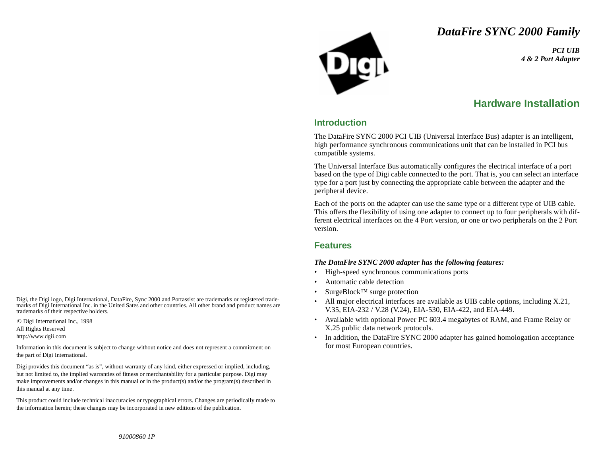# *DataFire SYNC 2000 Family*

*PCI UIB4 & 2 Port Adapter*

# **Hardware Installation**

### **Introduction**

The DataFire SYNC 2000 PCI UIB (Universal Interface Bus) adapter is an intelligent, high performance synchronous communications unit that can be installed in PCI bus compatible systems.

The Universal Interface Bus automatically configures the electrical interface of a port based on the type of Digi cable connected to the port. That is, you can select an interface type for a port just by connecting the appropriate cable between the adapter and the peripheral device.

Each of the ports on the adapter can use the same type or a different type of UIB cable. This offers the flexibility of using one adapter to connect up to four peripherals with different electrical interfaces on the 4 Port version, or one or two peripherals on the 2 Port version.

#### **Features**

#### *The DataFire SYNC 2000 adapter has the following features:*

- •High-speed synchronous communications ports
- •Automatic cable detection
- •SurgeBlock™ surge protection
- • All major electrical interfaces are available as UIB cable options, including X.21, V.35, EIA-232 / V.28 (V.24), EIA-530, EIA-422, and EIA-449.
- • Available with optional Power PC 603.4 megabytes of RAM, and Frame Relay or X.25 public data network protocols.
- • In addition, the DataFire SYNC 2000 adapter has gained homologation acceptance for most European countries.

Digi, the Digi logo, Digi International, DataFire, Sync 2000 and Portassist are trademarks or registered trademarks of Digi International Inc. in the United Sates and other countries. All other brand and product names are trademarks of their respective holders.

© Digi International Inc., 1998 All Rights Reserved http://www.dgii.com

Information in this document is subject to change without notice and does not represent a commitment on the part of Digi International.

Digi provides this document "as is", without warranty of any kind, either expressed or implied, including, but not limited to, the implied warranties of fitness or merchantability for a particular purpose. Digi may make improvements and/or changes in this manual or in the product(s) and/or the program(s) described in this manual at any time.

This product could include technical inaccuracies or typographical errors. Changes are periodically made to the information herein; these changes may be incorporated in new editions of the publication.